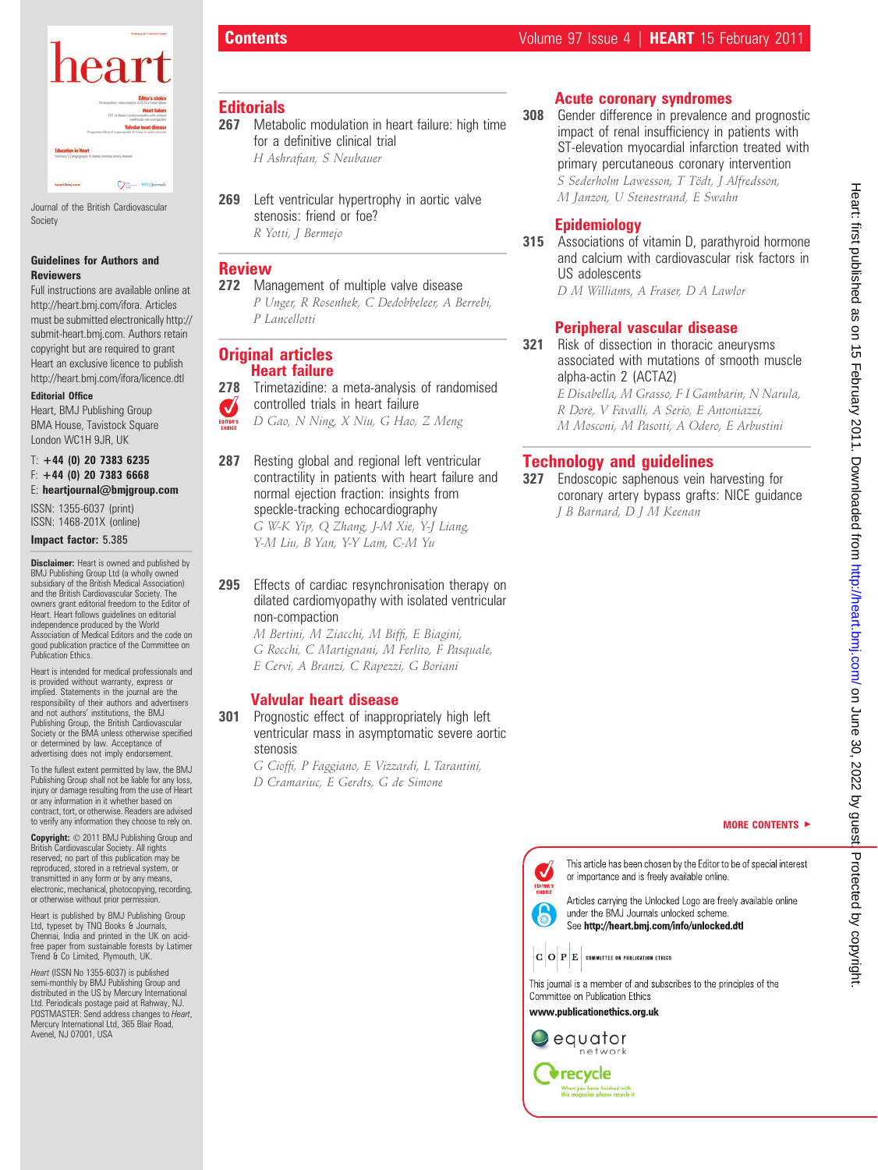

Journal of the British Cardiovascular Society

#### Guidelines for Authors and Reviewers

Full instructions are available online at http://heart.bmj.com/ifora. Articles must be submitted electronically http:// submit-heart.bmj.com. Authors retain copyright but are required to grant Heart an exclusive licence to publish http://heart.bmj.com/ifora/licence.dtl

#### Editorial Office

Heart, BMJ Publishing Group BMA House, Tavistock Square London WC1H 9JR, UK

#### $T: +44$  (0) 20 7383 6235  $F: +44$  (0) 20 7383 6668 E: heartjournal@bmjgroup.com

ISSN: 1355-6037 (print) ISSN: 1468-201X (online)

#### Impact factor: 5.385

**Disclaimer:** Heart is owned and published by BMJ Publishing Group Ltd (a wholly owned subsidiary of the British Medical Association) and the British Cardiovascular Society. The owners grant editorial freedom to the Editor of Heart. Heart follows guidelines on editorial independence produced by the World Association of Medical Editors and the code on good publication practice of the Committee on Publication Ethics.

Heart is intended for medical professionals and is provided without warranty, express or implied. Statements in the journal are the responsibility of their authors and advertisers and not authors' institutions, the BMJ Publishing Group, the British Cardiovascular Society or the BMA unless otherwise specified or determined by law. Acceptance of advertising does not imply endorsement

To the fullest extent permitted by law, the BMJ Publishing Group shall not be liable for any loss, injury or damage resulting from the use of Heart or any information in it whether based on contract, tort, or otherwise. Readers are advised to verify any information they choose to rely on.

Copyright:  $© 2011$  BMJ Publishing Group and British Cardiovascular Society. All rights reserved; no part of this publication may be reproduced, stored in a retrieval system, or transmitted in any form or by any means, electronic, mechanical, photocopying, recording, or otherwise without prior permission.

Heart is published by BMJ Publishing Group Ltd, typeset by TNQ Books & Journals, Chennai, India and printed in the UK on acidfree paper from sustainable forests by Latimer Trend & Co Limited, Plymouth, UK.

Heart (ISSN No 1355-6037) is published semi-monthly by BMJ Publishing Group and distributed in the US by Mercury International Ltd. Periodicals postage paid at Rahway, NJ. POSTMASTER: Send address changes to Heart, Mercury International Ltd, 365 Blair Road, Avenel, NJ 07001, USA

# **Contents Contents Contents Contents Contents Contents Contents Contents Contents Contents Contents Contents Contents Contents Contents Contents Contents Contents Contents Contents C**

#### **Editorials**

- 267 Metabolic modulation in heart failure: high time for a definitive clinical trial H Ashrafian, S Neubauer
- 269 Left ventricular hypertrophy in aortic valve stenosis: friend or foe? R Yotti, J Bermejo

#### Review

272 Management of multiple valve disease P Unger, R Rosenhek, C Dedobbeleer, A Berrebi, P Lancellotti

#### **Original articles** Heart failure

- 278 Trimetazidine: a meta-analysis of randomised controlled trials in heart failure
- $\overline{\mathcal{A}}$ D Gao, N Ning, X Niu, G Hao, Z Meng EDITOR'S
- 287 Resting global and regional left ventricular contractility in patients with heart failure and normal ejection fraction: insights from speckle-tracking echocardiography

295 Effects of cardiac resynchronisation therapy on dilated cardiomyopathy with isolated ventricular non-compaction

M Bertini, M Ziacchi, M Biffi, E Biagini, G Rocchi, C Martignani, M Ferlito, F Pasquale, E Cervi, A Branzi, C Rapezzi, G Boriani

## Valvular heart disease

301 Prognostic effect of inappropriately high left ventricular mass in asymptomatic severe aortic stenosis

G Cioffi, P Faggiano, E Vizzardi, L Tarantini, D Cramariuc, E Gerdts, G de Simone

## Acute coronary syndromes

**308** Gender difference in prevalence and prognostic impact of renal insufficiency in patients with ST-elevation myocardial infarction treated with primary percutaneous coronary intervention S Sederholm Lawesson, T Tödt, J Alfredsson, M Janzon, U Stenestrand, E Swahn

# Epidemiology

315 Associations of vitamin D, parathyroid hormone and calcium with cardiovascular risk factors in US adolescents D M Williams, A Fraser, D A Lawlor

# Peripheral vascular disease

321 Risk of dissection in thoracic aneurysms associated with mutations of smooth muscle alpha-actin 2 (ACTA2)

E Disabella, M Grasso, F I Gambarin, N Narula, R Dore, V Favalli, A Serio, E Antoniazzi, M Mosconi, M Pasotti, A Odero, E Arbustini

# Technology and guidelines

327 Endoscopic saphenous vein harvesting for coronary artery bypass grafts: NICE guidance J B Barnard, D J M Keenan





# Heart: first published as on 15 February 2011. Downloaded from http://heart.bmj.com/ on June 30, 2022 by guest Heart: first published as on 15 February 2011. Downloaded from <http://heart.bmj.com/> on June 30, 2022 by guest. Protected by copyright. Protected by copyright

G W-K Yip, Q Zhang, J-M Xie, Y-J Liang, Y-M Liu, B Yan, Y-Y Lam, C-M Yu